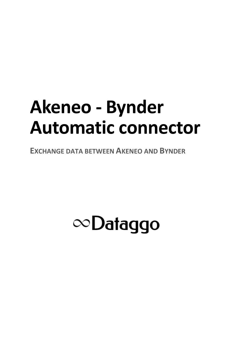# **Akeneo - Bynder Automatic connector**

**EXCHANGE DATA BETWEEN AKENEO AND BYNDER** 

## $\infty$ Dataggo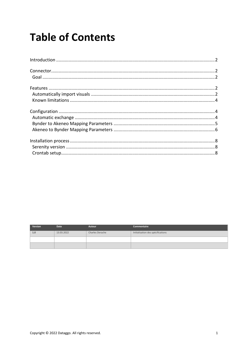### **Table of Contents**

| Version | <b>Date</b> | Auteur                 | Commentaire                       |
|---------|-------------|------------------------|-----------------------------------|
| 1.0     | 13.03.2022  | <b>Charles Derache</b> | Initialisation des spécifications |
|         |             |                        |                                   |
|         |             |                        |                                   |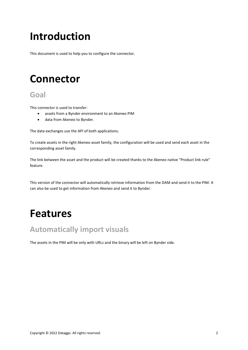## <span id="page-2-0"></span>**Introduction**

This document is used to help you to configure the connector.

### <span id="page-2-1"></span>**Connector**

#### <span id="page-2-2"></span>**Goal**

This connector is used to transfer:

- assets from a Bynder environment to an Akeneo PIM
- data from Akeneo to Bynder.

The data exchanges use the API of both applications.

To create assets in the right Akeneo asset family, the configuration will be used and send each asset in the corresponding asset family.

The link between the asset and the product will be created thanks to the Akeneo native "Product link rule" feature.

This version of the connector will automatically retrieve information from the DAM and send it to the PIM. It can also be used to get information from Akeneo and send it to Bynder.

### <span id="page-2-3"></span>**Features**

#### <span id="page-2-4"></span>**Automatically import visuals**

The assets in the PIM will be only with URLs and the binary will be left on Bynder side.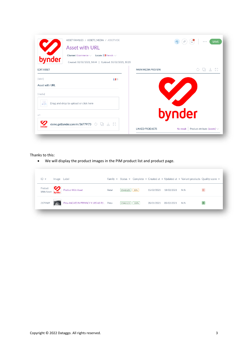| ASSET FAMILIES / ASSETS_MEDIA / ASSETVIDE<br><b>Asset with URL</b>                                                      |                                   |                        |           | <b>SAVE</b><br>$0$ 0 0             |
|-------------------------------------------------------------------------------------------------------------------------|-----------------------------------|------------------------|-----------|------------------------------------|
| Channel: Ecommerce $\vee$ Locale: II French $\vee$<br>bynder<br>Created: 02/02/2021, 14:44   Updated: 18/02/2021, 10:20 |                                   |                        |           |                                    |
| <b>EDIT ASSET</b>                                                                                                       |                                   | MAIN MEDIA PREVIEW     |           | 통결<br>$\circlearrowright$          |
| [label]                                                                                                                 | $\blacksquare$ fr                 |                        |           |                                    |
| Asset with URL<br>[media]<br>Drag and drop to upload or click here                                                      |                                   |                        |           |                                    |
| url                                                                                                                     |                                   |                        | bynder    |                                    |
| :demo.getbynder.com/m/36779f73 $\circledcirc$ and $\perp$<br>bynder                                                     | $\frac{\pi}{\pi}$ $\frac{\pi}{2}$ | <b>LINKED PRODUCTS</b> | No result | Product attribute: [assets] $\vee$ |

#### Thanks to this:

• We will display the product images in the PIM product list and product page.

| $ID -$  | Image Label |                                                        |        |               |      |            |            | Family $\star$ Status $\star$ Complete $\star$ Created at $\star$ Updated at $\star$ Variant products Quality score $\star$ |              |
|---------|-------------|--------------------------------------------------------|--------|---------------|------|------------|------------|-----------------------------------------------------------------------------------------------------------------------------|--------------|
|         |             | Product<br>With Asset <b>bynder</b> Product With Asset | Retail | ENABLED   50% |      | 15/02/2021 | 18/02/2021 | N/A                                                                                                                         | $\mathbf{D}$ |
| 2179469 |             | Pneu MICHELIN PRIMACY 4 185/65 R1 Pneu                 |        | ENABLED       | 100% | 20/01/2021 | 05/02/2021 | N/A                                                                                                                         | B            |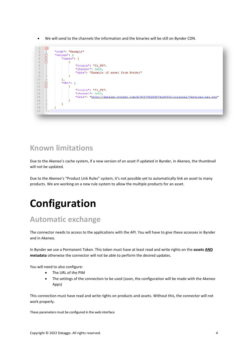• We will send to the channels the information and the binaries will be still on Bynder CDN.



#### <span id="page-4-0"></span>**Known limitations**

Due to the Akeneo's cache system, if a new version of an asset if updated in Bynder, in Akeneo, the thumbnail will not be updated.

Due to the Akeneo's "Product Link Rules" system, it's not possible yet to automatically link an asset to many products. We are working on a new rule system to allow the multiple products for an asset.

## <span id="page-4-1"></span>**Configuration**

### <span id="page-4-2"></span>**Automatic exchange**

The connector needs to access to the applications with the API. You will have to give these accesses in Bynder and in Akeneo.

In Bynder we use a Permanent Token. This token must have at least read and write rights on the **assets AND metadata** otherwise the connector will not be able to perform the desired updates.

You will need to also configure:

- The URL of the PIM
- The settings of the connection to be used (soon, the configuration will be made with the Akeneo Apps)

This connection must have read and write rights on products and assets. Without this, the connector will not work properly.

These parameters must be configured in the web interface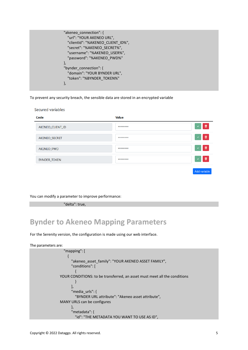```
 "akeneo_connection": {
   "url": "YOUR AKENEO URL",
   "clientId": "%AKENEO_CLIENT_ID%",
   "secret": "%AKENEO_SECRET%",
   "username": "%AKENEO_USER%",
   "password": "%AKENEO_PWD%"
 },
 "bynder_connection": {
   "domain": "YOUR BYNDER URL",
   "token": "%BYNDER_TOKEN%"
 },
```
To prevent any security breach, the sensible data are stored in an encrypted variable

Secured variables

| Code                | <b>Value</b> |                   |
|---------------------|--------------|-------------------|
| AKENEO_CLIENT_ID    | ********     | 画<br>$\checkmark$ |
| AKENEO_SECRET       | ********     | 盲<br>$\checkmark$ |
| AKENEO_PWD          | ********     | 画<br>$\checkmark$ |
| <b>BYNDER_TOKEN</b> | ********     | 面<br>$\checkmark$ |
|                     |              | Add variable      |

You can modify a parameter to improve performance:

"delta": true,

### <span id="page-5-0"></span>**Bynder to Akeneo Mapping Parameters**

For the Serenity version, the configuration is made using our web interface.

| The parameters are:                                                       |
|---------------------------------------------------------------------------|
| $"$ mapping": $[$                                                         |
|                                                                           |
| "akeneo asset family": "YOUR AKENEO ASSET FAMILY",                        |
| "conditions": [                                                           |
|                                                                           |
| YOUR CONDITIONS: to be transferred, an asset must meet all the conditions |
|                                                                           |
|                                                                           |
| "media urls": $\{$                                                        |
| "BYNDER URL attribute": "Akeneo asset attribute",                         |
| MANY URLS can be configures                                               |
|                                                                           |
| "metadata": {                                                             |
| "id": "THE METADATA YOU WANT TO USE AS ID",                               |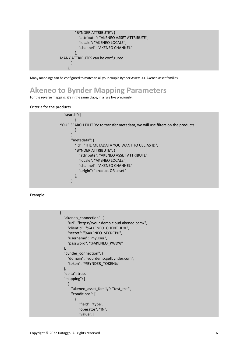

<span id="page-6-0"></span>Many mappings can be configured to match to all your couple Bynder Assets <-> Akeneo asset families.

### **Akeneo to Bynder Mapping Parameters**

For the reverse mapping, it's in the same place, in a rule like previously.

#### Criteria for the products



Example:

```
{
   "akeneo_connection": {
     "url": "https://your.demo.cloud.akeneo.com/",
     "clientId": "%AKENEO_CLIENT_ID%",
     "secret": "%AKENEO_SECRET%",
     "username": "myUser",
     "password": "%AKENEO_PWD%"
  },
   "bynder_connection": {
     "domain": "yourdemo.getbynder.com",
     "token": "%BYNDER_TOKEN%"
  },
   "delta": true,
   "mapping": [
     {
      "akeneo asset family": "test msf",
       "conditions": [
\sim \sim \sim \sim \sim \sim \sim "field": "type",
            "operator": "IN",
            "value": [
```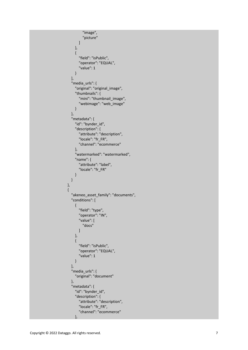```
 "image",
               "picture"
           ]
         },
         {
            "field": "isPublic",
            "operator": "EQUAL",
            "value": 1
        }
       ],
       "media_urls": {
          "original": "original_image",
          "thumbnails": {
            "mini": "thumbnail_image",
            "webimage": "web_image"
        }
       },
       "metadata": {
          "id": "bynder_id",
          "description": {
            "attribute": "description",
            "locale": "fr_FR",
            "channel": "ecommerce"
          },
          "watermarked": "watermarked",
          "name": {
            "attribute": "label",
            "locale": "fr_FR"
         }
      }
     },
    {
       "akeneo_asset_family": "documents",
       "conditions": [
        {
            "field": "type",
            "operator": "IN",
            "value": [
               "docs"
           ]
         },
        {
            "field": "isPublic",
            "operator": "EQUAL",
            "value": 1
        }
       ],
       "media_urls": {
          "original": "document"
       },
       "metadata": {
          "id": "bynder_id",
          "description": {
            "attribute": "description",
            "locale": "fr_FR",
            "channel": "ecommerce"
, and \}
```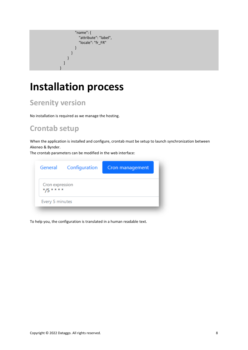```
 "name": {
              "attribute": "label",
              "locale": "fr_FR"
           }
        }
      }
   ]
}
```
### <span id="page-8-0"></span>**Installation process**

### <span id="page-8-1"></span>**Serenity version**

No installation is required as we manage the hosting.

### <span id="page-8-2"></span>**Crontab setup**

When the application is installed and configure, crontab must be setup to launch synchronization between Akeneo & Bynder.

The crontab parameters can be modified in the web interface:

|                             | General Configuration | Cron management |
|-----------------------------|-----------------------|-----------------|
| Cron expression<br>$*/5***$ |                       |                 |
| Every 5 minutes             |                       |                 |

To help you, the configuration is translated in a human readable text.